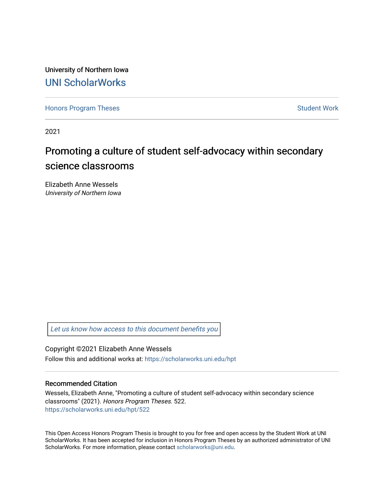University of Northern Iowa [UNI ScholarWorks](https://scholarworks.uni.edu/) 

[Honors Program Theses](https://scholarworks.uni.edu/hpt) **Student Work** Student Work

2021

# Promoting a culture of student self-advocacy within secondary science classrooms

Elizabeth Anne Wessels University of Northern Iowa

[Let us know how access to this document benefits you](https://scholarworks.uni.edu/feedback_form.html) 

#### Copyright ©2021 Elizabeth Anne Wessels

Follow this and additional works at: [https://scholarworks.uni.edu/hpt](https://scholarworks.uni.edu/hpt?utm_source=scholarworks.uni.edu%2Fhpt%2F522&utm_medium=PDF&utm_campaign=PDFCoverPages) 

# Recommended Citation

Wessels, Elizabeth Anne, "Promoting a culture of student self-advocacy within secondary science classrooms" (2021). Honors Program Theses. 522. [https://scholarworks.uni.edu/hpt/522](https://scholarworks.uni.edu/hpt/522?utm_source=scholarworks.uni.edu%2Fhpt%2F522&utm_medium=PDF&utm_campaign=PDFCoverPages) 

This Open Access Honors Program Thesis is brought to you for free and open access by the Student Work at UNI ScholarWorks. It has been accepted for inclusion in Honors Program Theses by an authorized administrator of UNI ScholarWorks. For more information, please contact [scholarworks@uni.edu](mailto:scholarworks@uni.edu).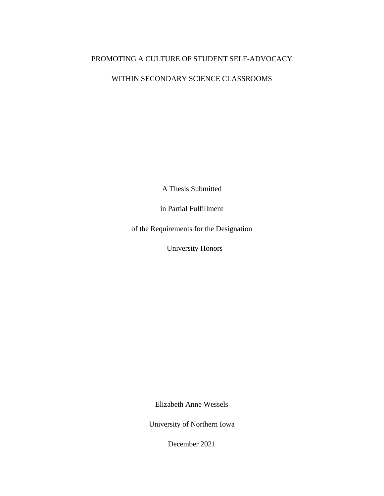# PROMOTING A CULTURE OF STUDENT SELF-ADVOCACY

# WITHIN SECONDARY SCIENCE CLASSROOMS

A Thesis Submitted

in Partial Fulfillment

of the Requirements for the Designation

University Honors

Elizabeth Anne Wessels

University of Northern Iowa

December 2021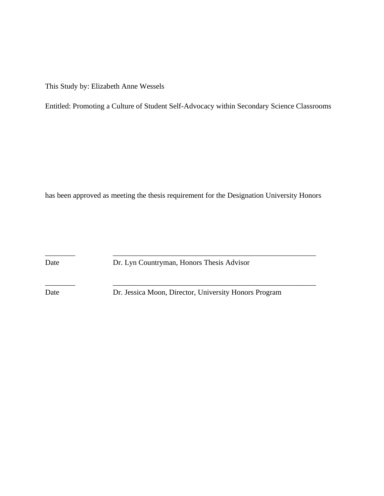This Study by: Elizabeth Anne Wessels

Entitled: Promoting a Culture of Student Self-Advocacy within Secondary Science Classrooms

has been approved as meeting the thesis requirement for the Designation University Honors

\_\_\_\_\_\_\_\_ \_\_\_\_\_\_\_\_\_\_\_\_\_\_\_\_\_\_\_\_\_\_\_\_\_\_\_\_\_\_\_\_\_\_\_\_\_\_\_\_\_\_\_\_\_\_\_\_\_\_\_\_\_\_ Date Dr. Lyn Countryman, Honors Thesis Advisor

\_\_\_\_\_\_\_\_ \_\_\_\_\_\_\_\_\_\_\_\_\_\_\_\_\_\_\_\_\_\_\_\_\_\_\_\_\_\_\_\_\_\_\_\_\_\_\_\_\_\_\_\_\_\_\_\_\_\_\_\_\_\_

Date Dr. Jessica Moon, Director, University Honors Program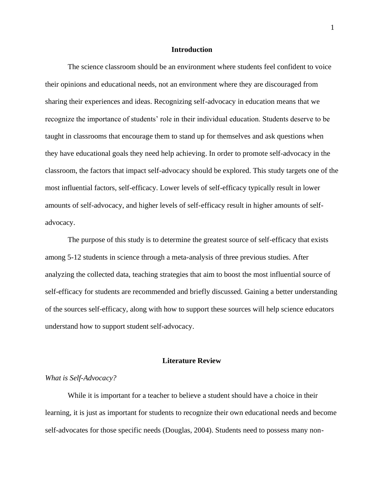#### **Introduction**

The science classroom should be an environment where students feel confident to voice their opinions and educational needs, not an environment where they are discouraged from sharing their experiences and ideas. Recognizing self-advocacy in education means that we recognize the importance of students' role in their individual education. Students deserve to be taught in classrooms that encourage them to stand up for themselves and ask questions when they have educational goals they need help achieving. In order to promote self-advocacy in the classroom, the factors that impact self-advocacy should be explored. This study targets one of the most influential factors, self-efficacy. Lower levels of self-efficacy typically result in lower amounts of self-advocacy, and higher levels of self-efficacy result in higher amounts of selfadvocacy.

The purpose of this study is to determine the greatest source of self-efficacy that exists among 5-12 students in science through a meta-analysis of three previous studies. After analyzing the collected data, teaching strategies that aim to boost the most influential source of self-efficacy for students are recommended and briefly discussed. Gaining a better understanding of the sources self-efficacy, along with how to support these sources will help science educators understand how to support student self-advocacy.

#### **Literature Review**

*What is Self-Advocacy?* 

While it is important for a teacher to believe a student should have a choice in their learning, it is just as important for students to recognize their own educational needs and become self-advocates for those specific needs (Douglas, 2004). Students need to possess many non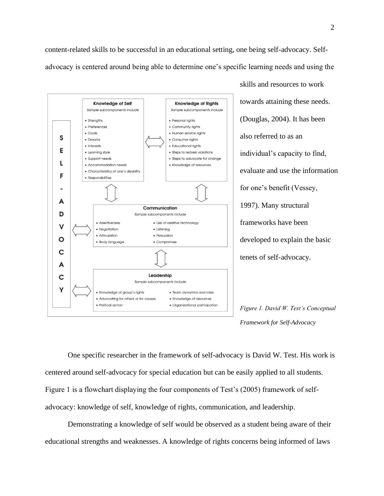content-related skills to be successful in an educational setting, one being self-advocacy. Selfadvocacy is centered around being able to determine one's specific learning needs and using the



skills and resources to work towards attaining these needs. (Douglas, 2004). It has been also referred to as an individual's capacity to find, evaluate and use the information for one's benefit (Vessey, 1997). Many structural frameworks have been developed to explain the basic tenets of self-advocacy.

*Figure 1. David W. Test's Conceptual Framework for Self-Advocacy*

One specific researcher in the framework of self-advocacy is David W. Test. His work is centered around self-advocacy for special education but can be easily applied to all students. Figure 1 is a flowchart displaying the four components of Test's (2005) framework of selfadvocacy: knowledge of self, knowledge of rights, communication, and leadership.

Demonstrating a knowledge of self would be observed as a student being aware of their educational strengths and weaknesses. A knowledge of rights concerns being informed of laws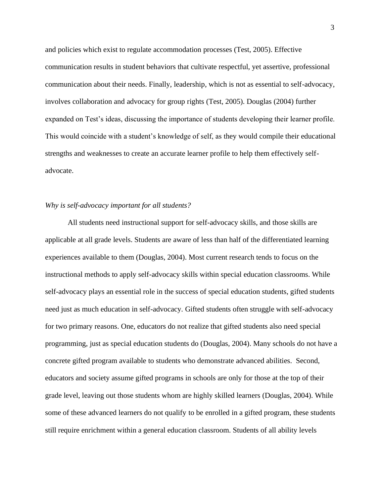and policies which exist to regulate accommodation processes (Test, 2005). Effective communication results in student behaviors that cultivate respectful, yet assertive, professional communication about their needs. Finally, leadership, which is not as essential to self-advocacy, involves collaboration and advocacy for group rights (Test, 2005). Douglas (2004) further expanded on Test's ideas, discussing the importance of students developing their learner profile. This would coincide with a student's knowledge of self, as they would compile their educational strengths and weaknesses to create an accurate learner profile to help them effectively selfadvocate.

# *Why is self-advocacy important for all students?*

All students need instructional support for self-advocacy skills, and those skills are applicable at all grade levels. Students are aware of less than half of the differentiated learning experiences available to them (Douglas, 2004). Most current research tends to focus on the instructional methods to apply self-advocacy skills within special education classrooms. While self-advocacy plays an essential role in the success of special education students, gifted students need just as much education in self-advocacy. Gifted students often struggle with self-advocacy for two primary reasons. One, educators do not realize that gifted students also need special programming, just as special education students do (Douglas, 2004). Many schools do not have a concrete gifted program available to students who demonstrate advanced abilities. Second, educators and society assume gifted programs in schools are only for those at the top of their grade level, leaving out those students whom are highly skilled learners (Douglas, 2004). While some of these advanced learners do not qualify to be enrolled in a gifted program, these students still require enrichment within a general education classroom. Students of all ability levels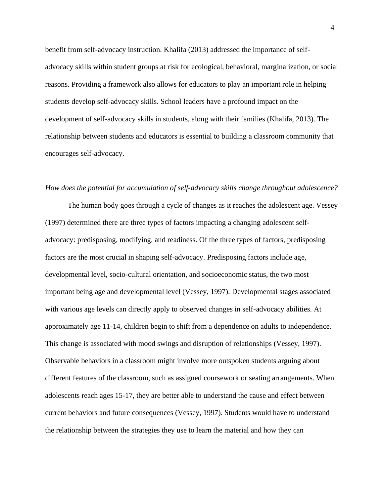benefit from self-advocacy instruction. Khalifa (2013) addressed the importance of selfadvocacy skills within student groups at risk for ecological, behavioral, marginalization, or social reasons. Providing a framework also allows for educators to play an important role in helping students develop self-advocacy skills. School leaders have a profound impact on the development of self-advocacy skills in students, along with their families (Khalifa, 2013). The relationship between students and educators is essential to building a classroom community that encourages self-advocacy.

# *How does the potential for accumulation of self-advocacy skills change throughout adolescence?*

The human body goes through a cycle of changes as it reaches the adolescent age. Vessey (1997) determined there are three types of factors impacting a changing adolescent selfadvocacy: predisposing, modifying, and readiness. Of the three types of factors, predisposing factors are the most crucial in shaping self-advocacy. Predisposing factors include age, developmental level, socio-cultural orientation, and socioeconomic status, the two most important being age and developmental level (Vessey, 1997). Developmental stages associated with various age levels can directly apply to observed changes in self-advocacy abilities. At approximately age 11-14, children begin to shift from a dependence on adults to independence. This change is associated with mood swings and disruption of relationships (Vessey, 1997). Observable behaviors in a classroom might involve more outspoken students arguing about different features of the classroom, such as assigned coursework or seating arrangements. When adolescents reach ages 15-17, they are better able to understand the cause and effect between current behaviors and future consequences (Vessey, 1997). Students would have to understand the relationship between the strategies they use to learn the material and how they can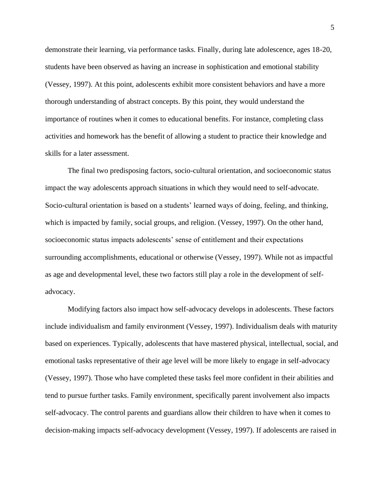demonstrate their learning, via performance tasks. Finally, during late adolescence, ages 18-20, students have been observed as having an increase in sophistication and emotional stability (Vessey, 1997). At this point, adolescents exhibit more consistent behaviors and have a more thorough understanding of abstract concepts. By this point, they would understand the importance of routines when it comes to educational benefits. For instance, completing class activities and homework has the benefit of allowing a student to practice their knowledge and skills for a later assessment.

The final two predisposing factors, socio-cultural orientation, and socioeconomic status impact the way adolescents approach situations in which they would need to self-advocate. Socio-cultural orientation is based on a students' learned ways of doing, feeling, and thinking, which is impacted by family, social groups, and religion. (Vessey, 1997). On the other hand, socioeconomic status impacts adolescents' sense of entitlement and their expectations surrounding accomplishments, educational or otherwise (Vessey, 1997). While not as impactful as age and developmental level, these two factors still play a role in the development of selfadvocacy.

Modifying factors also impact how self-advocacy develops in adolescents. These factors include individualism and family environment (Vessey, 1997). Individualism deals with maturity based on experiences. Typically, adolescents that have mastered physical, intellectual, social, and emotional tasks representative of their age level will be more likely to engage in self-advocacy (Vessey, 1997). Those who have completed these tasks feel more confident in their abilities and tend to pursue further tasks. Family environment, specifically parent involvement also impacts self-advocacy. The control parents and guardians allow their children to have when it comes to decision-making impacts self-advocacy development (Vessey, 1997). If adolescents are raised in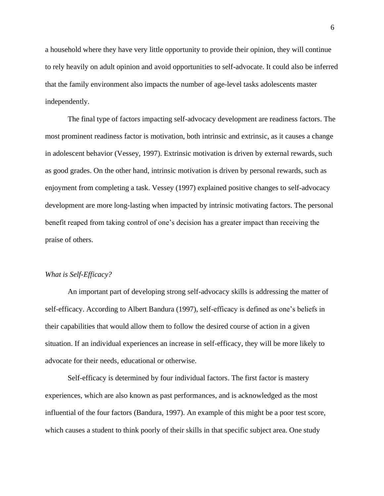a household where they have very little opportunity to provide their opinion, they will continue to rely heavily on adult opinion and avoid opportunities to self-advocate. It could also be inferred that the family environment also impacts the number of age-level tasks adolescents master independently.

The final type of factors impacting self-advocacy development are readiness factors. The most prominent readiness factor is motivation, both intrinsic and extrinsic, as it causes a change in adolescent behavior (Vessey, 1997). Extrinsic motivation is driven by external rewards, such as good grades. On the other hand, intrinsic motivation is driven by personal rewards, such as enjoyment from completing a task. Vessey (1997) explained positive changes to self-advocacy development are more long-lasting when impacted by intrinsic motivating factors. The personal benefit reaped from taking control of one's decision has a greater impact than receiving the praise of others.

#### *What is Self-Efficacy?*

An important part of developing strong self-advocacy skills is addressing the matter of self-efficacy. According to Albert Bandura (1997), self-efficacy is defined as one's beliefs in their capabilities that would allow them to follow the desired course of action in a given situation. If an individual experiences an increase in self-efficacy, they will be more likely to advocate for their needs, educational or otherwise.

Self-efficacy is determined by four individual factors. The first factor is mastery experiences, which are also known as past performances, and is acknowledged as the most influential of the four factors (Bandura, 1997). An example of this might be a poor test score, which causes a student to think poorly of their skills in that specific subject area. One study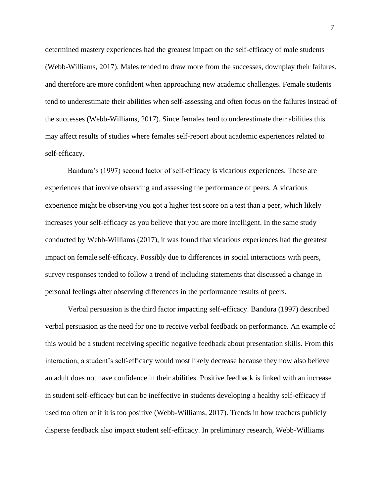determined mastery experiences had the greatest impact on the self-efficacy of male students (Webb-Williams, 2017). Males tended to draw more from the successes, downplay their failures, and therefore are more confident when approaching new academic challenges. Female students tend to underestimate their abilities when self-assessing and often focus on the failures instead of the successes (Webb-Williams, 2017). Since females tend to underestimate their abilities this may affect results of studies where females self-report about academic experiences related to self-efficacy.

Bandura's (1997) second factor of self-efficacy is vicarious experiences. These are experiences that involve observing and assessing the performance of peers. A vicarious experience might be observing you got a higher test score on a test than a peer, which likely increases your self-efficacy as you believe that you are more intelligent. In the same study conducted by Webb-Williams (2017), it was found that vicarious experiences had the greatest impact on female self-efficacy. Possibly due to differences in social interactions with peers, survey responses tended to follow a trend of including statements that discussed a change in personal feelings after observing differences in the performance results of peers.

Verbal persuasion is the third factor impacting self-efficacy. Bandura (1997) described verbal persuasion as the need for one to receive verbal feedback on performance. An example of this would be a student receiving specific negative feedback about presentation skills. From this interaction, a student's self-efficacy would most likely decrease because they now also believe an adult does not have confidence in their abilities. Positive feedback is linked with an increase in student self-efficacy but can be ineffective in students developing a healthy self-efficacy if used too often or if it is too positive (Webb-Williams, 2017). Trends in how teachers publicly disperse feedback also impact student self-efficacy. In preliminary research, Webb-Williams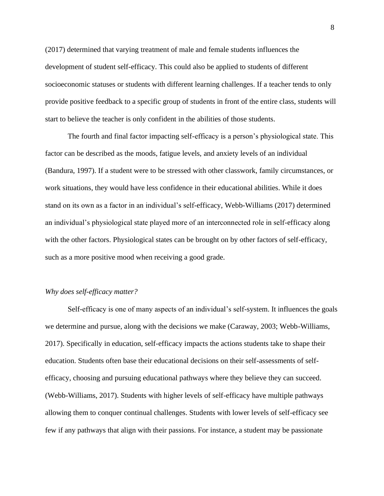(2017) determined that varying treatment of male and female students influences the development of student self-efficacy. This could also be applied to students of different socioeconomic statuses or students with different learning challenges. If a teacher tends to only provide positive feedback to a specific group of students in front of the entire class, students will start to believe the teacher is only confident in the abilities of those students.

The fourth and final factor impacting self-efficacy is a person's physiological state. This factor can be described as the moods, fatigue levels, and anxiety levels of an individual (Bandura, 1997). If a student were to be stressed with other classwork, family circumstances, or work situations, they would have less confidence in their educational abilities. While it does stand on its own as a factor in an individual's self-efficacy, Webb-Williams (2017) determined an individual's physiological state played more of an interconnected role in self-efficacy along with the other factors. Physiological states can be brought on by other factors of self-efficacy, such as a more positive mood when receiving a good grade.

#### *Why does self-efficacy matter?*

Self-efficacy is one of many aspects of an individual's self-system. It influences the goals we determine and pursue, along with the decisions we make (Caraway, 2003; Webb-Williams, 2017). Specifically in education, self-efficacy impacts the actions students take to shape their education. Students often base their educational decisions on their self-assessments of selfefficacy, choosing and pursuing educational pathways where they believe they can succeed. (Webb-Williams, 2017). Students with higher levels of self-efficacy have multiple pathways allowing them to conquer continual challenges. Students with lower levels of self-efficacy see few if any pathways that align with their passions. For instance, a student may be passionate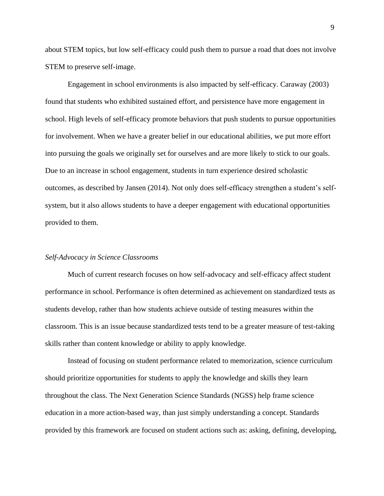about STEM topics, but low self-efficacy could push them to pursue a road that does not involve STEM to preserve self-image.

Engagement in school environments is also impacted by self-efficacy. Caraway (2003) found that students who exhibited sustained effort, and persistence have more engagement in school. High levels of self-efficacy promote behaviors that push students to pursue opportunities for involvement. When we have a greater belief in our educational abilities, we put more effort into pursuing the goals we originally set for ourselves and are more likely to stick to our goals. Due to an increase in school engagement, students in turn experience desired scholastic outcomes, as described by Jansen (2014). Not only does self-efficacy strengthen a student's selfsystem, but it also allows students to have a deeper engagement with educational opportunities provided to them.

#### *Self-Advocacy in Science Classrooms*

Much of current research focuses on how self-advocacy and self-efficacy affect student performance in school. Performance is often determined as achievement on standardized tests as students develop, rather than how students achieve outside of testing measures within the classroom. This is an issue because standardized tests tend to be a greater measure of test-taking skills rather than content knowledge or ability to apply knowledge.

Instead of focusing on student performance related to memorization, science curriculum should prioritize opportunities for students to apply the knowledge and skills they learn throughout the class. The Next Generation Science Standards (NGSS) help frame science education in a more action-based way, than just simply understanding a concept. Standards provided by this framework are focused on student actions such as: asking, defining, developing,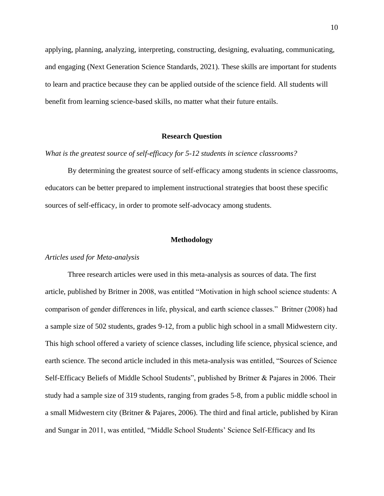applying, planning, analyzing, interpreting, constructing, designing, evaluating, communicating, and engaging (Next Generation Science Standards, 2021). These skills are important for students to learn and practice because they can be applied outside of the science field. All students will benefit from learning science-based skills, no matter what their future entails.

#### **Research Question**

*What is the greatest source of self-efficacy for 5-12 students in science classrooms?* 

By determining the greatest source of self-efficacy among students in science classrooms, educators can be better prepared to implement instructional strategies that boost these specific sources of self-efficacy, in order to promote self-advocacy among students.

#### **Methodology**

#### *Articles used for Meta-analysis*

Three research articles were used in this meta-analysis as sources of data. The first article, published by Britner in 2008, was entitled "Motivation in high school science students: A comparison of gender differences in life, physical, and earth science classes." Britner (2008) had a sample size of 502 students, grades 9-12, from a public high school in a small Midwestern city. This high school offered a variety of science classes, including life science, physical science, and earth science. The second article included in this meta-analysis was entitled, "Sources of Science Self-Efficacy Beliefs of Middle School Students", published by Britner & Pajares in 2006. Their study had a sample size of 319 students, ranging from grades 5-8, from a public middle school in a small Midwestern city (Britner & Pajares, 2006). The third and final article, published by Kiran and Sungar in 2011, was entitled, "Middle School Students' Science Self-Efficacy and Its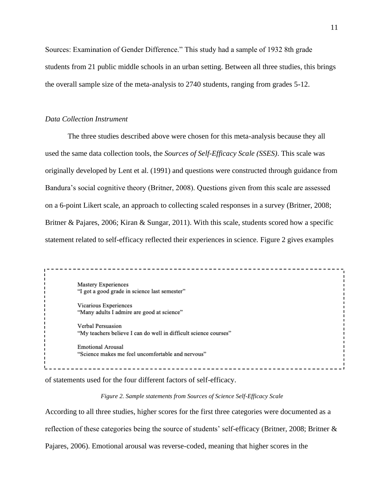Sources: Examination of Gender Difference." This study had a sample of 1932 8th grade students from 21 public middle schools in an urban setting. Between all three studies, this brings the overall sample size of the meta-analysis to 2740 students, ranging from grades 5-12.

#### *Data Collection Instrument*

The three studies described above were chosen for this meta-analysis because they all used the same data collection tools, the *Sources of Self-Efficacy Scale (SSES)*. This scale was originally developed by Lent et al. (1991) and questions were constructed through guidance from Bandura's social cognitive theory (Britner, 2008). Questions given from this scale are assessed on a 6-point Likert scale, an approach to collecting scaled responses in a survey (Britner, 2008; Britner & Pajares, 2006; Kiran & Sungar, 2011). With this scale, students scored how a specific statement related to self-efficacy reflected their experiences in science. Figure 2 gives examples

Mastery Experiences "I got a good grade in science last semester" Vicarious Experiences "Many adults I admire are good at science" Verbal Persuasion "My teachers believe I can do well in difficult science courses" **Emotional Arousal** "Science makes me feel uncomfortable and nervous"

of statements used for the four different factors of self-efficacy.

#### *Figure 2. Sample statements from Sources of Science Self-Efficacy Scale*

According to all three studies, higher scores for the first three categories were documented as a reflection of these categories being the source of students' self-efficacy (Britner, 2008; Britner & Pajares, 2006). Emotional arousal was reverse-coded, meaning that higher scores in the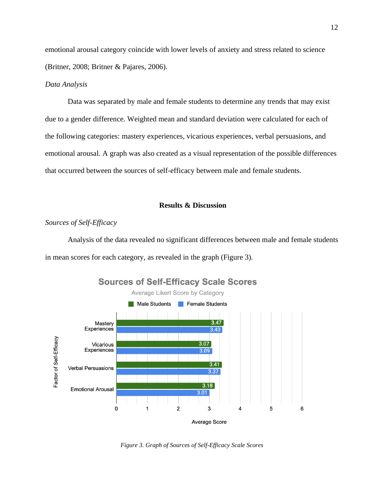emotional arousal category coincide with lower levels of anxiety and stress related to science (Britner, 2008; Britner & Pajares, 2006).

# *Data Analysis*

Data was separated by male and female students to determine any trends that may exist due to a gender difference. Weighted mean and standard deviation were calculated for each of the following categories: mastery experiences, vicarious experiences, verbal persuasions, and emotional arousal. A graph was also created as a visual representation of the possible differences that occurred between the sources of self-efficacy between male and female students.

# **Results & Discussion**

# *Sources of Self-Efficacy*

Analysis of the data revealed no significant differences between male and female students in mean scores for each category, as revealed in the graph (Figure 3).



*Figure 3. Graph of Sources of Self-Efficacy Scale Scores*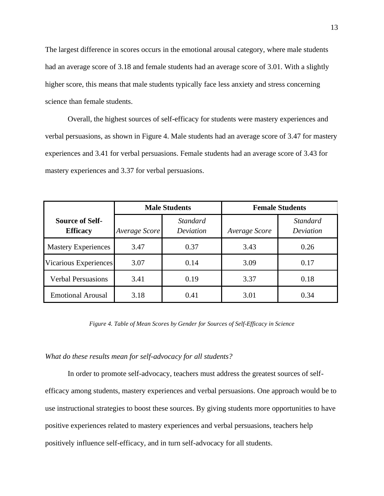The largest difference in scores occurs in the emotional arousal category, where male students had an average score of 3.18 and female students had an average score of 3.01. With a slightly higher score, this means that male students typically face less anxiety and stress concerning science than female students.

Overall, the highest sources of self-efficacy for students were mastery experiences and verbal persuasions, as shown in Figure 4. Male students had an average score of 3.47 for mastery experiences and 3.41 for verbal persuasions. Female students had an average score of 3.43 for mastery experiences and 3.37 for verbal persuasions.

|                                           | <b>Male Students</b> |                                     | <b>Female Students</b> |                              |
|-------------------------------------------|----------------------|-------------------------------------|------------------------|------------------------------|
| <b>Source of Self-</b><br><b>Efficacy</b> | Average Score        | <b>Standard</b><br><b>Deviation</b> | Average Score          | <b>Standard</b><br>Deviation |
| <b>Mastery Experiences</b>                | 3.47                 | 0.37                                | 3.43                   | 0.26                         |
| Vicarious Experiences                     | 3.07                 | 0.14                                | 3.09                   | 0.17                         |
| <b>Verbal Persuasions</b>                 | 3.41                 | 0.19                                | 3.37                   | 0.18                         |
| <b>Emotional Arousal</b>                  | 3.18                 | 0.41                                | 3.01                   | 0.34                         |

*Figure 4. Table of Mean Scores by Gender for Sources of Self-Efficacy in Science* 

#### *What do these results mean for self-advocacy for all students?*

In order to promote self-advocacy, teachers must address the greatest sources of selfefficacy among students, mastery experiences and verbal persuasions. One approach would be to use instructional strategies to boost these sources. By giving students more opportunities to have positive experiences related to mastery experiences and verbal persuasions, teachers help positively influence self-efficacy, and in turn self-advocacy for all students.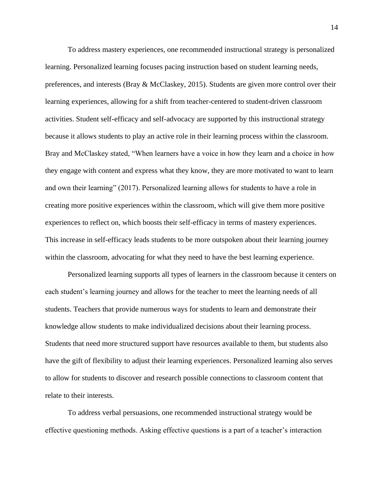To address mastery experiences, one recommended instructional strategy is personalized learning. Personalized learning focuses pacing instruction based on student learning needs, preferences, and interests (Bray & McClaskey, 2015). Students are given more control over their learning experiences, allowing for a shift from teacher-centered to student-driven classroom activities. Student self-efficacy and self-advocacy are supported by this instructional strategy because it allows students to play an active role in their learning process within the classroom. Bray and McClaskey stated, "When learners have a voice in how they learn and a choice in how they engage with content and express what they know, they are more motivated to want to learn and own their learning" (2017). Personalized learning allows for students to have a role in creating more positive experiences within the classroom, which will give them more positive experiences to reflect on, which boosts their self-efficacy in terms of mastery experiences. This increase in self-efficacy leads students to be more outspoken about their learning journey within the classroom, advocating for what they need to have the best learning experience.

Personalized learning supports all types of learners in the classroom because it centers on each student's learning journey and allows for the teacher to meet the learning needs of all students. Teachers that provide numerous ways for students to learn and demonstrate their knowledge allow students to make individualized decisions about their learning process. Students that need more structured support have resources available to them, but students also have the gift of flexibility to adjust their learning experiences. Personalized learning also serves to allow for students to discover and research possible connections to classroom content that relate to their interests.

To address verbal persuasions, one recommended instructional strategy would be effective questioning methods. Asking effective questions is a part of a teacher's interaction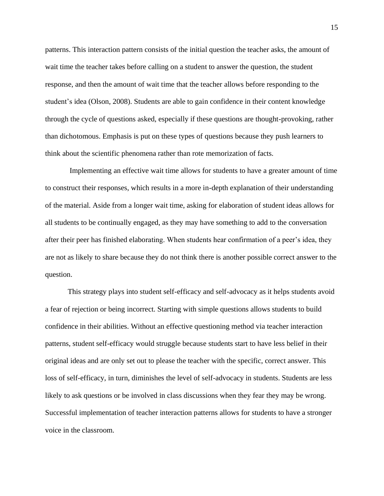patterns. This interaction pattern consists of the initial question the teacher asks, the amount of wait time the teacher takes before calling on a student to answer the question, the student response, and then the amount of wait time that the teacher allows before responding to the student's idea (Olson, 2008). Students are able to gain confidence in their content knowledge through the cycle of questions asked, especially if these questions are thought-provoking, rather than dichotomous. Emphasis is put on these types of questions because they push learners to think about the scientific phenomena rather than rote memorization of facts.

Implementing an effective wait time allows for students to have a greater amount of time to construct their responses, which results in a more in-depth explanation of their understanding of the material. Aside from a longer wait time, asking for elaboration of student ideas allows for all students to be continually engaged, as they may have something to add to the conversation after their peer has finished elaborating. When students hear confirmation of a peer's idea, they are not as likely to share because they do not think there is another possible correct answer to the question.

This strategy plays into student self-efficacy and self-advocacy as it helps students avoid a fear of rejection or being incorrect. Starting with simple questions allows students to build confidence in their abilities. Without an effective questioning method via teacher interaction patterns, student self-efficacy would struggle because students start to have less belief in their original ideas and are only set out to please the teacher with the specific, correct answer. This loss of self-efficacy, in turn, diminishes the level of self-advocacy in students. Students are less likely to ask questions or be involved in class discussions when they fear they may be wrong. Successful implementation of teacher interaction patterns allows for students to have a stronger voice in the classroom.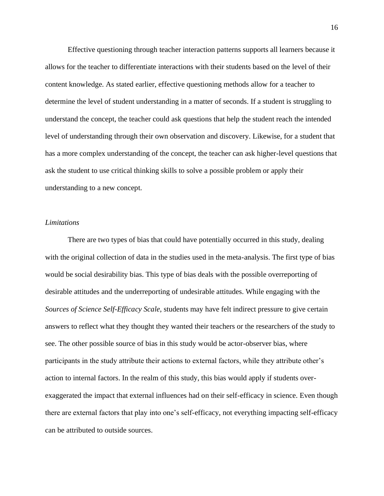Effective questioning through teacher interaction patterns supports all learners because it allows for the teacher to differentiate interactions with their students based on the level of their content knowledge. As stated earlier, effective questioning methods allow for a teacher to determine the level of student understanding in a matter of seconds. If a student is struggling to understand the concept, the teacher could ask questions that help the student reach the intended level of understanding through their own observation and discovery. Likewise, for a student that has a more complex understanding of the concept, the teacher can ask higher-level questions that ask the student to use critical thinking skills to solve a possible problem or apply their understanding to a new concept.

#### *Limitations*

There are two types of bias that could have potentially occurred in this study, dealing with the original collection of data in the studies used in the meta-analysis. The first type of bias would be social desirability bias. This type of bias deals with the possible overreporting of desirable attitudes and the underreporting of undesirable attitudes. While engaging with the *Sources of Science Self-Efficacy Scale*, students may have felt indirect pressure to give certain answers to reflect what they thought they wanted their teachers or the researchers of the study to see. The other possible source of bias in this study would be actor-observer bias, where participants in the study attribute their actions to external factors, while they attribute other's action to internal factors. In the realm of this study, this bias would apply if students overexaggerated the impact that external influences had on their self-efficacy in science. Even though there are external factors that play into one's self-efficacy, not everything impacting self-efficacy can be attributed to outside sources.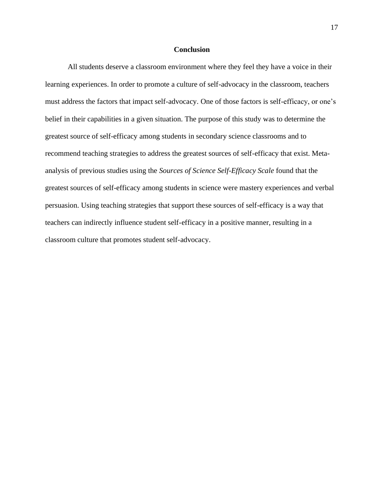# **Conclusion**

All students deserve a classroom environment where they feel they have a voice in their learning experiences. In order to promote a culture of self-advocacy in the classroom, teachers must address the factors that impact self-advocacy. One of those factors is self-efficacy, or one's belief in their capabilities in a given situation. The purpose of this study was to determine the greatest source of self-efficacy among students in secondary science classrooms and to recommend teaching strategies to address the greatest sources of self-efficacy that exist. Metaanalysis of previous studies using the *Sources of Science Self-Efficacy Scale* found that the greatest sources of self-efficacy among students in science were mastery experiences and verbal persuasion. Using teaching strategies that support these sources of self-efficacy is a way that teachers can indirectly influence student self-efficacy in a positive manner, resulting in a classroom culture that promotes student self-advocacy.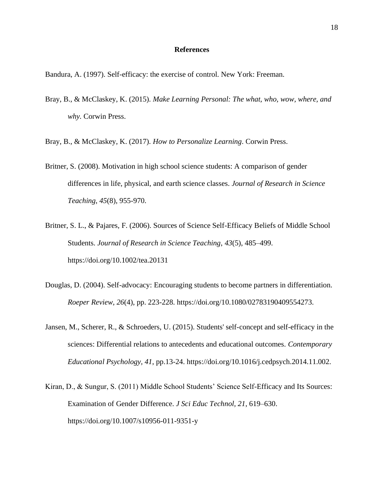#### **References**

Bandura, A. (1997). Self-efficacy: the exercise of control. New York: Freeman.

- Bray, B., & McClaskey, K. (2015). *Make Learning Personal: The what, who, wow, where, and why.* Corwin Press.
- Bray, B., & McClaskey, K. (2017). *How to Personalize Learning*. Corwin Press.
- Britner, S. (2008). Motivation in high school science students: A comparison of gender differences in life, physical, and earth science classes. *Journal of Research in Science Teaching*, *45*(8), 955-970.
- Britner, S. L., & Pajares, F. (2006). Sources of Science Self-Efficacy Beliefs of Middle School Students. *Journal of Research in Science Teaching*, *43*(5), 485–499. https://doi.org/10.1002/tea.20131
- Douglas, D. (2004). Self-advocacy: Encouraging students to become partners in differentiation. *Roeper Review, 26*(4), pp. 223-228. https://doi.org/10.1080/02783190409554273.
- Jansen, M., Scherer, R., & Schroeders, U. (2015). Students' self-concept and self-efficacy in the sciences: Differential relations to antecedents and educational outcomes. *Contemporary Educational Psychology, 41*, pp.13-24. https://doi.org/10.1016/j.cedpsych.2014.11.002.
- Kiran, D., & Sungur, S. (2011) Middle School Students' Science Self-Efficacy and Its Sources: Examination of Gender Difference. *J Sci Educ Technol, 21*, 619–630. https://doi.org/10.1007/s10956-011-9351-y